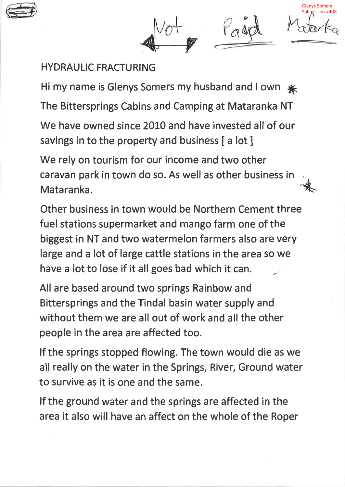

P

Glenys Somers Submission #403

 $\mathcal{O}$ 

## HYDRAULIC FRACTURING

Hi my name is Glenys Somers my husband and I own  $*$ 

The Bittersprings Cabins and Camping at Mataranka NT

We have owned since 2010 and have invested all of our savings in to the property and business [a lot]

1 We rely on tourism for our income and two other caravan park in town do so. As well as other business in Mataranka.

Other business in town would be Northern Cement three fuel stations supermarket and mango farm one of the biggest in NT and two watermelon farmers also are very large and a lot of large cattle stations in the area so we have a lot to lose if it all goes bad which it can.

All are based around two springs Rainbow and Bittersprings and the Tindal basin water supply and without them we are all out of work and all the other people in the area are affected too.

lf the springs stopped flowing. The town would die as we all really on the water in the Springs, River, Ground water to survive as it is one and the same.

lf the ground water and the springs are affected in the area it also will have an affect on the whole of the Roper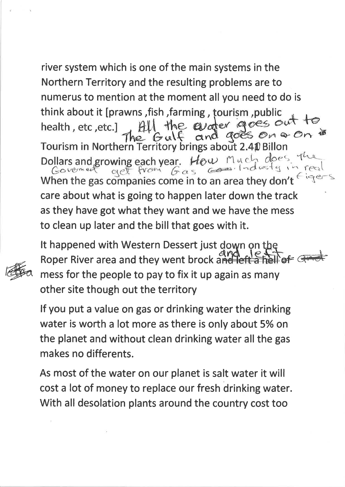river system which is one of the main systems in the Northern Territory and the resulting problems are to numerus to mention at the moment all you need to do is think about it [prawns, fish, farming, tourism, public<br>health, etc, etc.]  $\lim_{n \to \infty} \frac{f(x)}{f(x)}$  the evoter goes out to Tourism in Northern Territory brings about 2.40 Billon Dollars and growing each year. How Much does the Covenut of the second that is need when the gas companies come in to an area they don't as they have got what they want and we have the mess to clean up later and the bill that goes with it.



It happened with Western Dessert just down on the Roper River area and they went brock and least a helper mess for the people to pay to fix it up again as many other site though out the territory

lf you put a value on gas or drinking water the drinking water is worth a lot more as there is only about 5% on the planet and without clean drinking water all the gas makes no differents.

As most of the water on our planet is salt water it will cost a lot of money to replace our fresh drinking water. With all desolation plants around the country cost too